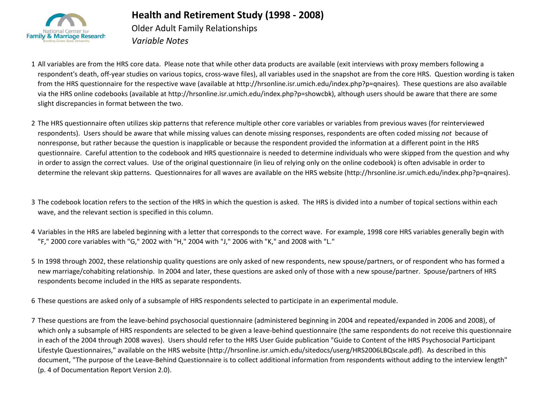

## **Health and Retirement Study (1998 - 2008)**

Older Adult Family Relationships *Variable Notes*

1 All variables are from the HRS core data. Please note that while other data products are available (exit interviews with proxy members following a respondent's death, off-year studies on various topics, cross-wave files), all variables used in the snapshot are from the core HRS. Question wording is taken from the HRS questionnaire for the respective wave (available at http://hrsonline.isr.umich.edu/index.php?p=qnaires). These questions are also available via the HRS online codebooks (available at http://hrsonline.isr.umich.edu/index.php?p=showcbk), although users should be aware that there are some slight discrepancies in format between the two.

2 The HRS questionnaire often utilizes skip patterns that reference multiple other core variables or variables from previous waves (for reinterviewed respondents). Users should be aware that while missing values can denote missing responses, respondents are often coded missing *not* because of nonresponse, but rather because the question is inapplicable or because the respondent provided the information at a different point in the HRS questionnaire. Careful attention to the codebook and HRS questionnaire is needed to determine individuals who were skipped from the question and why in order to assign the correct values. Use of the original questionnaire (in lieu of relying only on the online codebook) is often advisable in order to determine the relevant skip patterns. Questionnaires for all waves are available on the HRS website (http://hrsonline.isr.umich.edu/index.php?p=qnaires).

3 The codebook location refers to the section of the HRS in which the question is asked. The HRS is divided into a number of topical sections within each wave, and the relevant section is specified in this column.

- 4 Variables in the HRS are labeled beginning with a letter that corresponds to the correct wave. For example, 1998 core HRS variables generally begin with "F," 2000 core variables with "G," 2002 with "H," 2004 with "J," 2006 with "K," and 2008 with "L."
- 5 In 1998 through 2002, these relationship quality questions are only asked of new respondents, new spouse/partners, or of respondent who has formed a new marriage/cohabiting relationship. In 2004 and later, these questions are asked only of those with a new spouse/partner. Spouse/partners of HRS respondents become included in the HRS as separate respondents.

6 These questions are asked only of a subsample of HRS respondents selected to participate in an experimental module.

7 These questions are from the leave-behind psychosocial questionnaire (administered beginning in 2004 and repeated/expanded in 2006 and 2008), of which only a subsample of HRS respondents are selected to be given a leave-behind questionnaire (the same respondents do not receive this questionnaire in each of the 2004 through 2008 waves). Users should refer to the HRS User Guide publication "Guide to Content of the HRS Psychosocial Participant Lifestyle Questionnaires," available on the HRS website (http://hrsonline.isr.umich.edu/sitedocs/userg/HRS2006LBQscale.pdf). As described in this document, "The purpose of the Leave-Behind Questionnaire is to collect additional information from respondents without adding to the interview length" (p. 4 of Documentation Report Version 2.0).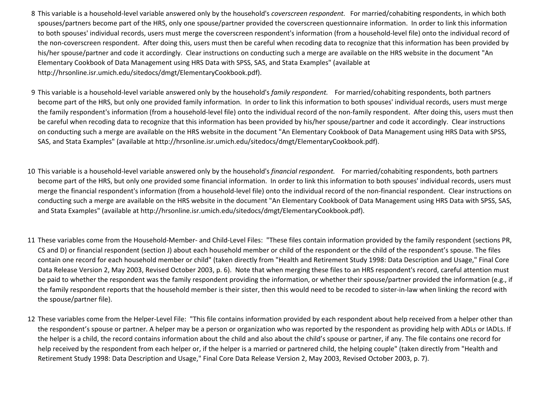- 8 This variable is a household-level variable answered only by the household's *coverscreen respondent.* For married/cohabiting respondents, in which both spouses/partners become part of the HRS, only one spouse/partner provided the coverscreen questionnaire information. In order to link this information to both spouses' individual records, users must merge the coverscreen respondent's information (from a household-level file) onto the individual record of the non-coverscreen respondent. After doing this, users must then be careful when recoding data to recognize that this information has been provided by his/her spouse/partner and code it accordingly. Clear instructions on conducting such a merge are available on the HRS website in the document "An Elementary Cookbook of Data Management using HRS Data with SPSS, SAS, and Stata Examples" (available at http://hrsonline.isr.umich.edu/sitedocs/dmgt/ElementaryCookbook.pdf).
- 9 This variable is a household-level variable answered only by the household's *family respondent.* For married/cohabiting respondents, both partners become part of the HRS, but only one provided family information. In order to link this information to both spouses' individual records, users must merge the family respondent's information (from a household-level file) onto the individual record of the non-family respondent. After doing this, users must then be careful when recoding data to recognize that this information has been provided by his/her spouse/partner and code it accordingly. Clear instructions on conducting such a merge are available on the HRS website in the document "An Elementary Cookbook of Data Management using HRS Data with SPSS, SAS, and Stata Examples" (available at http://hrsonline.isr.umich.edu/sitedocs/dmgt/ElementaryCookbook.pdf).
- 10 This variable is a household-level variable answered only by the household's *financial respondent.* For married/cohabiting respondents, both partners become part of the HRS, but only one provided some financial information. In order to link this information to both spouses' individual records, users must merge the financial respondent's information (from a household-level file) onto the individual record of the non-financial respondent. Clear instructions on conducting such a merge are available on the HRS website in the document "An Elementary Cookbook of Data Management using HRS Data with SPSS, SAS, and Stata Examples" (available at http://hrsonline.isr.umich.edu/sitedocs/dmgt/ElementaryCookbook.pdf).
- 11 These variables come from the Household-Member- and Child-Level Files: "These files contain information provided by the family respondent (sections PR, CS and D) or financial respondent (section J) about each household member or child of the respondent or the child of the respondent's spouse. The files contain one record for each household member or child" (taken directly from "Health and Retirement Study 1998: Data Description and Usage," Final Core Data Release Version 2, May 2003, Revised October 2003, p. 6). Note that when merging these files to an HRS respondent's record, careful attention must be paid to whether the respondent was the family respondent providing the information, or whether their spouse/partner provided the information (e.g., if the family respondent reports that the household member is their sister, then this would need to be recoded to sister-in-law when linking the record with the spouse/partner file).
- 12 These variables come from the Helper-Level File: "This file contains information provided by each respondent about help received from a helper other than the respondent's spouse or partner. A helper may be a person or organization who was reported by the respondent as providing help with ADLs or IADLs. If the helper is a child, the record contains information about the child and also about the child's spouse or partner, if any. The file contains one record for help received by the respondent from each helper or, if the helper is a married or partnered child, the helping couple" (taken directly from "Health and Retirement Study 1998: Data Description and Usage," Final Core Data Release Version 2, May 2003, Revised October 2003, p. 7).